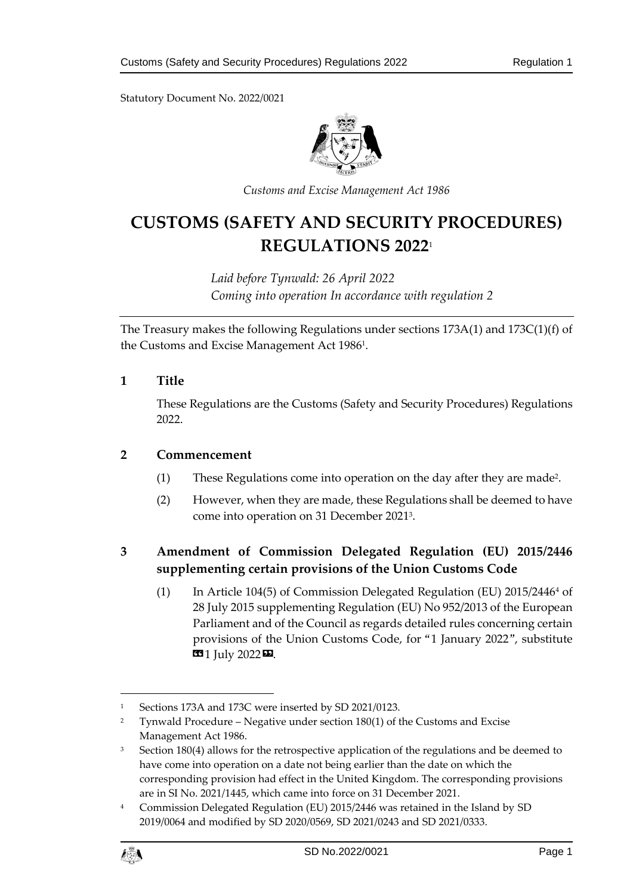Statutory Document No. 2022/0021



*Customs and Excise Management Act 1986*

# **CUSTOMS (SAFETY AND SECURITY PROCEDURES) REGULATIONS 2022**<sup>1</sup>

*Laid before Tynwald: 26 April 2022 Coming into operation In accordance with regulation 2*

The Treasury makes the following Regulations under sections 173A(1) and 173C(1)(f) of the Customs and Excise Management Act 1986<sup>1</sup>.

### **1 Title**

These Regulations are the Customs (Safety and Security Procedures) Regulations 2022.

#### **2 Commencement**

- (1) These Regulations come into operation on the day after they are made<sup>2</sup> .
- (2) However, when they are made, these Regulations shall be deemed to have come into operation on 31 December 2021<sup>3</sup> .

# **3 Amendment of Commission Delegated Regulation (EU) 2015/2446 supplementing certain provisions of the Union Customs Code**

(1) In Article 104(5) of Commission Delegated Regulation (EU)  $2015/24464$  of 28 July 2015 supplementing Regulation (EU) No 952/2013 of the European Parliament and of the Council as regards detailed rules concerning certain provisions of the Union Customs Code, for "1 January 2022", substitute **1** July 2022 **12**.

<sup>4</sup> Commission Delegated Regulation (EU) 2015/2446 was retained in the Island by SD 2019/0064 and modified by SD 2020/0569, SD 2021/0243 and SD 2021/0333.



1

<sup>1</sup> Sections 173A and 173C were inserted by SD 2021/0123.

<sup>&</sup>lt;sup>2</sup> Tynwald Procedure – Negative under section  $180(1)$  of the Customs and Excise Management Act 1986.

 $3$  Section 180(4) allows for the retrospective application of the regulations and be deemed to have come into operation on a date not being earlier than the date on which the corresponding provision had effect in the United Kingdom. The corresponding provisions are in SI No. 2021/1445, which came into force on 31 December 2021.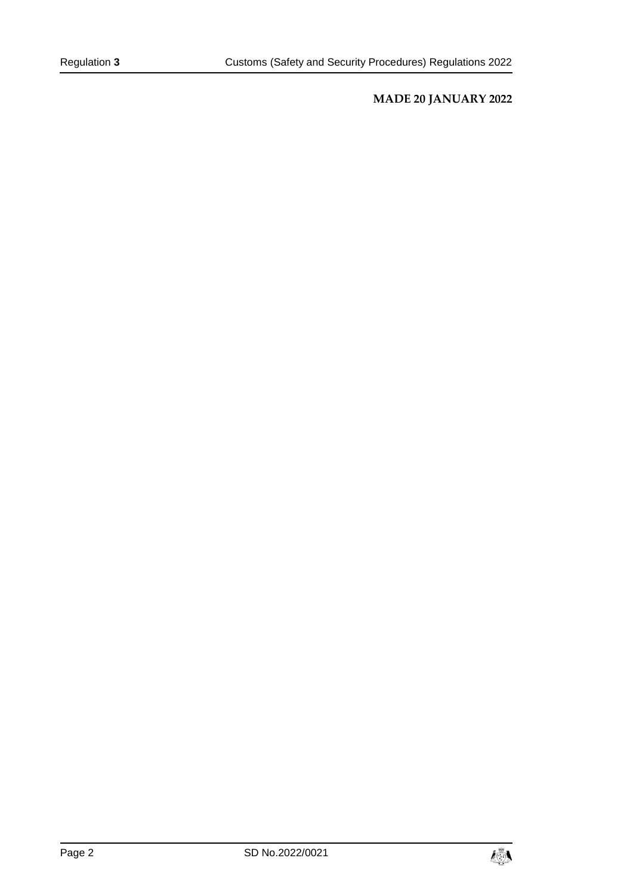## **MADE 20 JANUARY 2022**